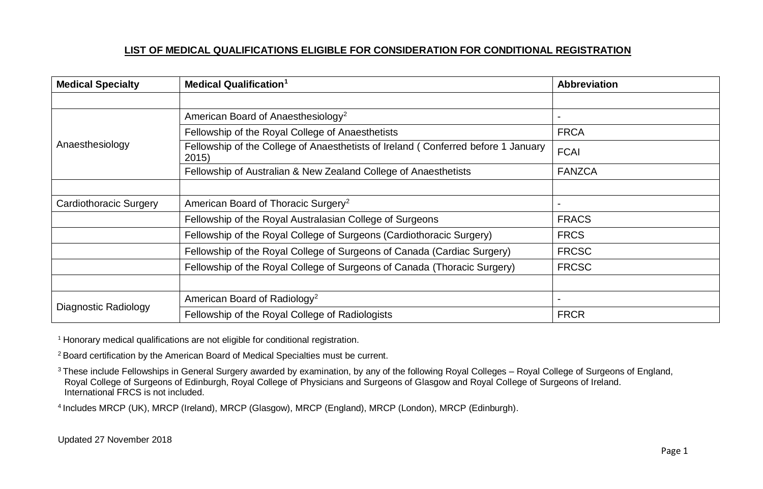| <b>Medical Specialty</b> | <b>Medical Qualification</b> <sup>1</sup>                                                  | <b>Abbreviation</b> |
|--------------------------|--------------------------------------------------------------------------------------------|---------------------|
|                          |                                                                                            |                     |
|                          | American Board of Anaesthesiology <sup>2</sup>                                             |                     |
| Anaesthesiology          | Fellowship of the Royal College of Anaesthetists                                           | <b>FRCA</b>         |
|                          | Fellowship of the College of Anaesthetists of Ireland (Conferred before 1 January<br>2015) | <b>FCAI</b>         |
|                          | Fellowship of Australian & New Zealand College of Anaesthetists                            | <b>FANZCA</b>       |
|                          |                                                                                            |                     |
| Cardiothoracic Surgery   | American Board of Thoracic Surgery <sup>2</sup>                                            |                     |
|                          | Fellowship of the Royal Australasian College of Surgeons                                   | <b>FRACS</b>        |
|                          | Fellowship of the Royal College of Surgeons (Cardiothoracic Surgery)                       | <b>FRCS</b>         |
|                          | Fellowship of the Royal College of Surgeons of Canada (Cardiac Surgery)                    | <b>FRCSC</b>        |
|                          | Fellowship of the Royal College of Surgeons of Canada (Thoracic Surgery)                   | <b>FRCSC</b>        |
|                          |                                                                                            |                     |
|                          | American Board of Radiology <sup>2</sup>                                                   |                     |
| Diagnostic Radiology     | Fellowship of the Royal College of Radiologists                                            | <b>FRCR</b>         |

<sup>1</sup> Honorary medical qualifications are not eligible for conditional registration.

<sup>2</sup> Board certification by the American Board of Medical Specialties must be current.

<sup>3</sup> These include Fellowships in General Surgery awarded by examination, by any of the following Royal Colleges – Royal College of Surgeons of England, Royal College of Surgeons of Edinburgh, Royal College of Physicians and Surgeons of Glasgow and Royal College of Surgeons of Ireland. International FRCS is not included.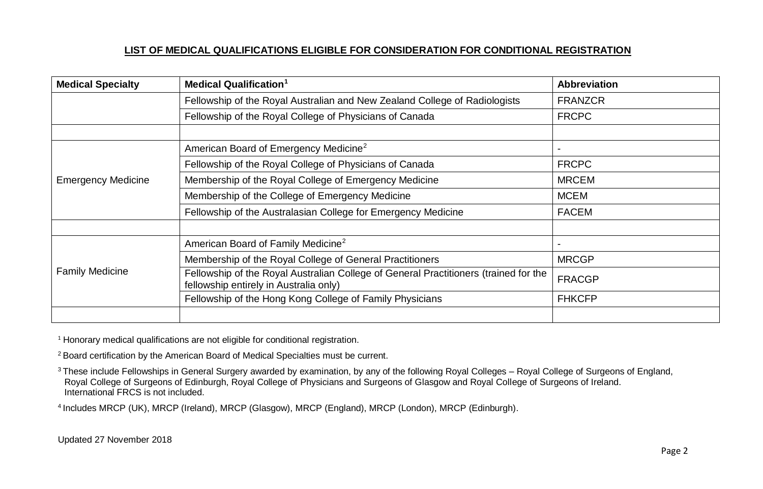| <b>Medical Specialty</b>  | <b>Medical Qualification<sup>1</sup></b>                                                                                       | <b>Abbreviation</b> |
|---------------------------|--------------------------------------------------------------------------------------------------------------------------------|---------------------|
|                           | Fellowship of the Royal Australian and New Zealand College of Radiologists                                                     | <b>FRANZCR</b>      |
|                           | Fellowship of the Royal College of Physicians of Canada                                                                        | <b>FRCPC</b>        |
|                           |                                                                                                                                |                     |
|                           | American Board of Emergency Medicine <sup>2</sup>                                                                              |                     |
|                           | Fellowship of the Royal College of Physicians of Canada                                                                        | <b>FRCPC</b>        |
| <b>Emergency Medicine</b> | Membership of the Royal College of Emergency Medicine                                                                          | <b>MRCEM</b>        |
|                           | Membership of the College of Emergency Medicine                                                                                | <b>MCEM</b>         |
|                           | Fellowship of the Australasian College for Emergency Medicine                                                                  | <b>FACEM</b>        |
|                           |                                                                                                                                |                     |
|                           | American Board of Family Medicine <sup>2</sup>                                                                                 |                     |
| <b>Family Medicine</b>    | Membership of the Royal College of General Practitioners                                                                       | <b>MRCGP</b>        |
|                           | Fellowship of the Royal Australian College of General Practitioners (trained for the<br>fellowship entirely in Australia only) | <b>FRACGP</b>       |
|                           | Fellowship of the Hong Kong College of Family Physicians                                                                       | <b>FHKCFP</b>       |
|                           |                                                                                                                                |                     |

<sup>1</sup> Honorary medical qualifications are not eligible for conditional registration.

<sup>2</sup> Board certification by the American Board of Medical Specialties must be current.

<sup>3</sup> These include Fellowships in General Surgery awarded by examination, by any of the following Royal Colleges – Royal College of Surgeons of England, Royal College of Surgeons of Edinburgh, Royal College of Physicians and Surgeons of Glasgow and Royal College of Surgeons of Ireland. International FRCS is not included.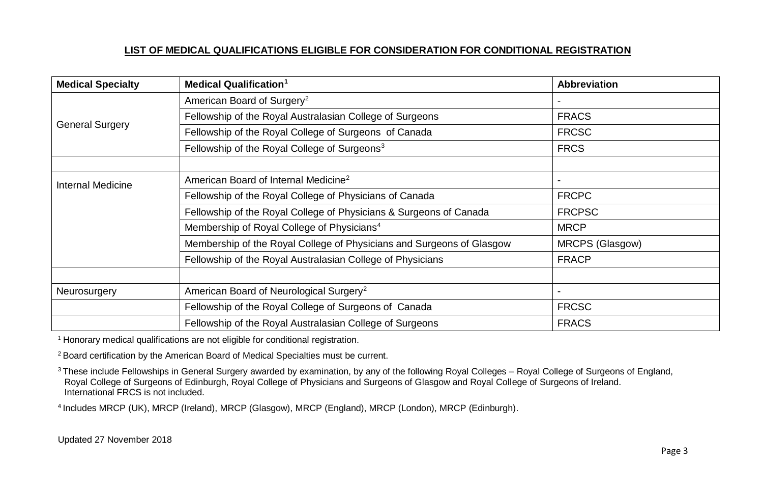| <b>Medical Specialty</b> | <b>Medical Qualification<sup>1</sup></b>                              | <b>Abbreviation</b> |
|--------------------------|-----------------------------------------------------------------------|---------------------|
| <b>General Surgery</b>   | American Board of Surgery <sup>2</sup>                                |                     |
|                          | Fellowship of the Royal Australasian College of Surgeons              | <b>FRACS</b>        |
|                          | Fellowship of the Royal College of Surgeons of Canada                 | <b>FRCSC</b>        |
|                          | Fellowship of the Royal College of Surgeons <sup>3</sup>              | <b>FRCS</b>         |
|                          |                                                                       |                     |
| <b>Internal Medicine</b> | American Board of Internal Medicine <sup>2</sup>                      |                     |
|                          | Fellowship of the Royal College of Physicians of Canada               | <b>FRCPC</b>        |
|                          | Fellowship of the Royal College of Physicians & Surgeons of Canada    | <b>FRCPSC</b>       |
|                          | Membership of Royal College of Physicians <sup>4</sup>                | <b>MRCP</b>         |
|                          | Membership of the Royal College of Physicians and Surgeons of Glasgow | MRCPS (Glasgow)     |
|                          | Fellowship of the Royal Australasian College of Physicians            | <b>FRACP</b>        |
|                          |                                                                       |                     |
| Neurosurgery             | American Board of Neurological Surgery <sup>2</sup>                   |                     |
|                          | Fellowship of the Royal College of Surgeons of Canada                 | <b>FRCSC</b>        |
|                          | Fellowship of the Royal Australasian College of Surgeons              | <b>FRACS</b>        |

<sup>1</sup> Honorary medical qualifications are not eligible for conditional registration.

<sup>2</sup> Board certification by the American Board of Medical Specialties must be current.

<sup>3</sup> These include Fellowships in General Surgery awarded by examination, by any of the following Royal Colleges – Royal College of Surgeons of England, Royal College of Surgeons of Edinburgh, Royal College of Physicians and Surgeons of Glasgow and Royal College of Surgeons of Ireland. International FRCS is not included.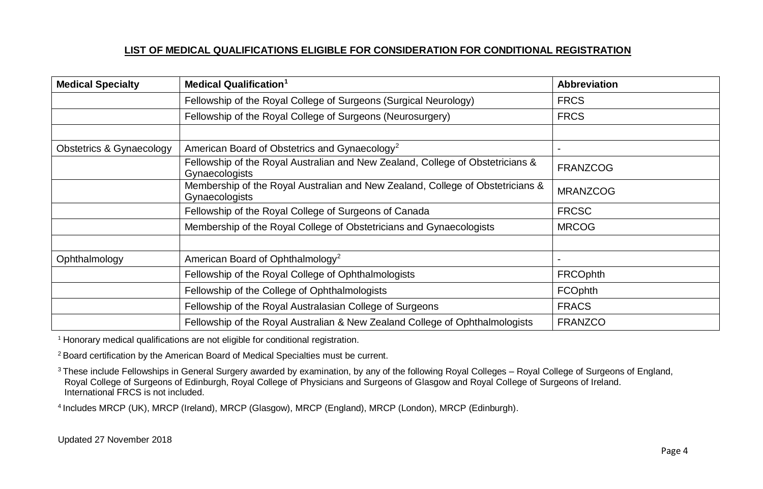| <b>Medical Specialty</b> | <b>Medical Qualification<sup>1</sup></b>                                                         | <b>Abbreviation</b> |
|--------------------------|--------------------------------------------------------------------------------------------------|---------------------|
|                          | Fellowship of the Royal College of Surgeons (Surgical Neurology)                                 | <b>FRCS</b>         |
|                          | Fellowship of the Royal College of Surgeons (Neurosurgery)                                       | <b>FRCS</b>         |
|                          |                                                                                                  |                     |
| Obstetrics & Gynaecology | American Board of Obstetrics and Gynaecology <sup>2</sup>                                        |                     |
|                          | Fellowship of the Royal Australian and New Zealand, College of Obstetricians &<br>Gynaecologists | <b>FRANZCOG</b>     |
|                          | Membership of the Royal Australian and New Zealand, College of Obstetricians &<br>Gynaecologists | <b>MRANZCOG</b>     |
|                          | Fellowship of the Royal College of Surgeons of Canada                                            | <b>FRCSC</b>        |
|                          | Membership of the Royal College of Obstetricians and Gynaecologists                              | <b>MRCOG</b>        |
|                          |                                                                                                  |                     |
| Ophthalmology            | American Board of Ophthalmology <sup>2</sup>                                                     |                     |
|                          | Fellowship of the Royal College of Ophthalmologists                                              | <b>FRCOphth</b>     |
|                          | Fellowship of the College of Ophthalmologists                                                    | <b>FCOphth</b>      |
|                          | Fellowship of the Royal Australasian College of Surgeons                                         | <b>FRACS</b>        |
|                          | Fellowship of the Royal Australian & New Zealand College of Ophthalmologists                     | <b>FRANZCO</b>      |

<sup>1</sup> Honorary medical qualifications are not eligible for conditional registration.

<sup>2</sup> Board certification by the American Board of Medical Specialties must be current.

<sup>3</sup> These include Fellowships in General Surgery awarded by examination, by any of the following Royal Colleges – Royal College of Surgeons of England, Royal College of Surgeons of Edinburgh, Royal College of Physicians and Surgeons of Glasgow and Royal College of Surgeons of Ireland. International FRCS is not included.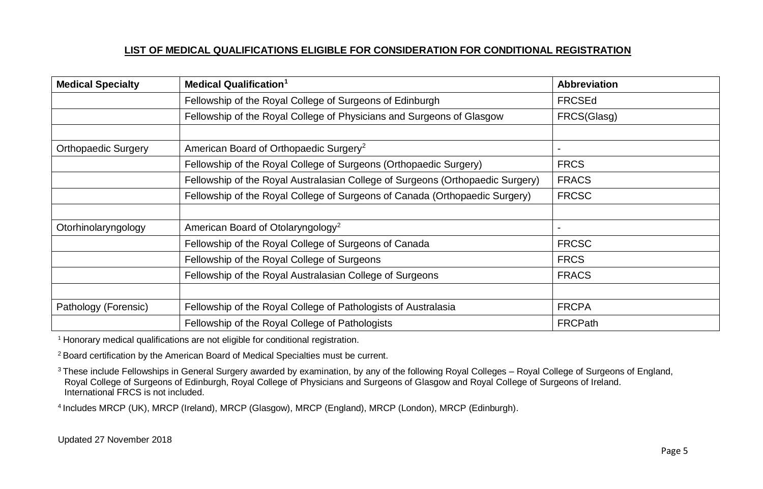| <b>Medical Specialty</b>   | <b>Medical Qualification<sup>1</sup></b>                                       | <b>Abbreviation</b> |
|----------------------------|--------------------------------------------------------------------------------|---------------------|
|                            | Fellowship of the Royal College of Surgeons of Edinburgh                       | <b>FRCSEd</b>       |
|                            | Fellowship of the Royal College of Physicians and Surgeons of Glasgow          | FRCS(Glasg)         |
|                            |                                                                                |                     |
| <b>Orthopaedic Surgery</b> | American Board of Orthopaedic Surgery <sup>2</sup>                             |                     |
|                            | Fellowship of the Royal College of Surgeons (Orthopaedic Surgery)              | <b>FRCS</b>         |
|                            | Fellowship of the Royal Australasian College of Surgeons (Orthopaedic Surgery) | <b>FRACS</b>        |
|                            | Fellowship of the Royal College of Surgeons of Canada (Orthopaedic Surgery)    | <b>FRCSC</b>        |
|                            |                                                                                |                     |
| Otorhinolaryngology        | American Board of Otolaryngology <sup>2</sup>                                  |                     |
|                            | Fellowship of the Royal College of Surgeons of Canada                          | <b>FRCSC</b>        |
|                            | Fellowship of the Royal College of Surgeons                                    | <b>FRCS</b>         |
|                            | Fellowship of the Royal Australasian College of Surgeons                       | <b>FRACS</b>        |
|                            |                                                                                |                     |
| Pathology (Forensic)       | Fellowship of the Royal College of Pathologists of Australasia                 | <b>FRCPA</b>        |
|                            | Fellowship of the Royal College of Pathologists                                | <b>FRCPath</b>      |

<sup>1</sup> Honorary medical qualifications are not eligible for conditional registration.

<sup>2</sup> Board certification by the American Board of Medical Specialties must be current.

<sup>3</sup> These include Fellowships in General Surgery awarded by examination, by any of the following Royal Colleges – Royal College of Surgeons of England, Royal College of Surgeons of Edinburgh, Royal College of Physicians and Surgeons of Glasgow and Royal College of Surgeons of Ireland. International FRCS is not included.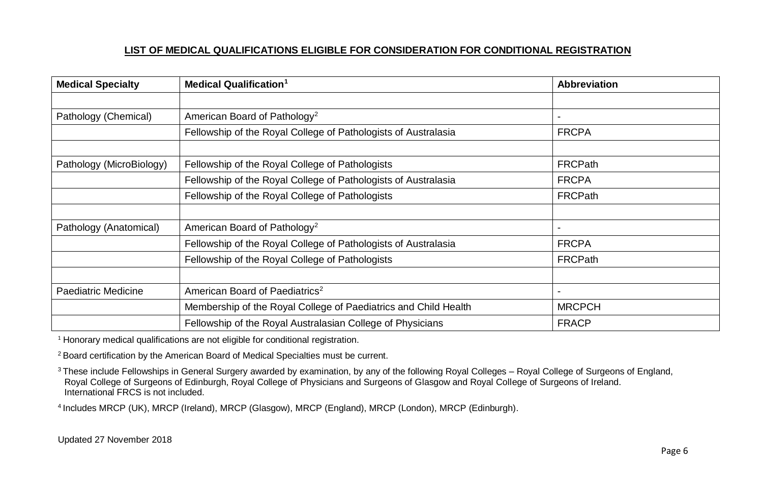| <b>Medical Specialty</b>   | <b>Medical Qualification<sup>1</sup></b>                        | <b>Abbreviation</b> |
|----------------------------|-----------------------------------------------------------------|---------------------|
|                            |                                                                 |                     |
| Pathology (Chemical)       | American Board of Pathology <sup>2</sup>                        |                     |
|                            | Fellowship of the Royal College of Pathologists of Australasia  | <b>FRCPA</b>        |
|                            |                                                                 |                     |
| Pathology (MicroBiology)   | Fellowship of the Royal College of Pathologists                 | <b>FRCPath</b>      |
|                            | Fellowship of the Royal College of Pathologists of Australasia  | <b>FRCPA</b>        |
|                            | Fellowship of the Royal College of Pathologists                 | <b>FRCPath</b>      |
|                            |                                                                 |                     |
| Pathology (Anatomical)     | American Board of Pathology <sup>2</sup>                        |                     |
|                            | Fellowship of the Royal College of Pathologists of Australasia  | <b>FRCPA</b>        |
|                            | Fellowship of the Royal College of Pathologists                 | <b>FRCPath</b>      |
|                            |                                                                 |                     |
| <b>Paediatric Medicine</b> | American Board of Paediatrics <sup>2</sup>                      |                     |
|                            | Membership of the Royal College of Paediatrics and Child Health | <b>MRCPCH</b>       |
|                            | Fellowship of the Royal Australasian College of Physicians      | <b>FRACP</b>        |

<sup>1</sup> Honorary medical qualifications are not eligible for conditional registration.

<sup>2</sup> Board certification by the American Board of Medical Specialties must be current.

<sup>3</sup> These include Fellowships in General Surgery awarded by examination, by any of the following Royal Colleges – Royal College of Surgeons of England, Royal College of Surgeons of Edinburgh, Royal College of Physicians and Surgeons of Glasgow and Royal College of Surgeons of Ireland. International FRCS is not included.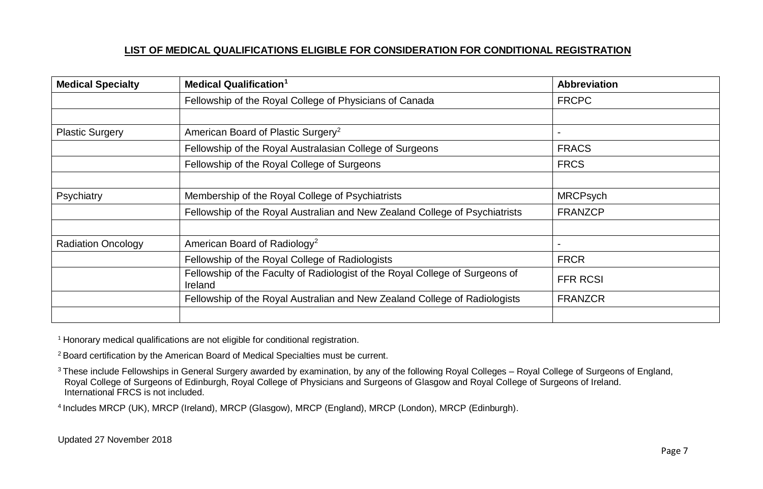| <b>Medical Specialty</b>  | <b>Medical Qualification</b> <sup>1</sup>                                               | <b>Abbreviation</b> |
|---------------------------|-----------------------------------------------------------------------------------------|---------------------|
|                           | Fellowship of the Royal College of Physicians of Canada                                 | <b>FRCPC</b>        |
|                           |                                                                                         |                     |
| <b>Plastic Surgery</b>    | American Board of Plastic Surgery <sup>2</sup>                                          |                     |
|                           | Fellowship of the Royal Australasian College of Surgeons                                | <b>FRACS</b>        |
|                           | Fellowship of the Royal College of Surgeons                                             | <b>FRCS</b>         |
|                           |                                                                                         |                     |
| Psychiatry                | Membership of the Royal College of Psychiatrists                                        | <b>MRCPsych</b>     |
|                           | Fellowship of the Royal Australian and New Zealand College of Psychiatrists             | <b>FRANZCP</b>      |
|                           |                                                                                         |                     |
| <b>Radiation Oncology</b> | American Board of Radiology <sup>2</sup>                                                |                     |
|                           | Fellowship of the Royal College of Radiologists                                         | <b>FRCR</b>         |
|                           | Fellowship of the Faculty of Radiologist of the Royal College of Surgeons of<br>Ireland | <b>FFR RCSI</b>     |
|                           | Fellowship of the Royal Australian and New Zealand College of Radiologists              | <b>FRANZCR</b>      |
|                           |                                                                                         |                     |

<sup>1</sup> Honorary medical qualifications are not eligible for conditional registration.

<sup>2</sup> Board certification by the American Board of Medical Specialties must be current.

<sup>3</sup> These include Fellowships in General Surgery awarded by examination, by any of the following Royal Colleges – Royal College of Surgeons of England, Royal College of Surgeons of Edinburgh, Royal College of Physicians and Surgeons of Glasgow and Royal College of Surgeons of Ireland. International FRCS is not included.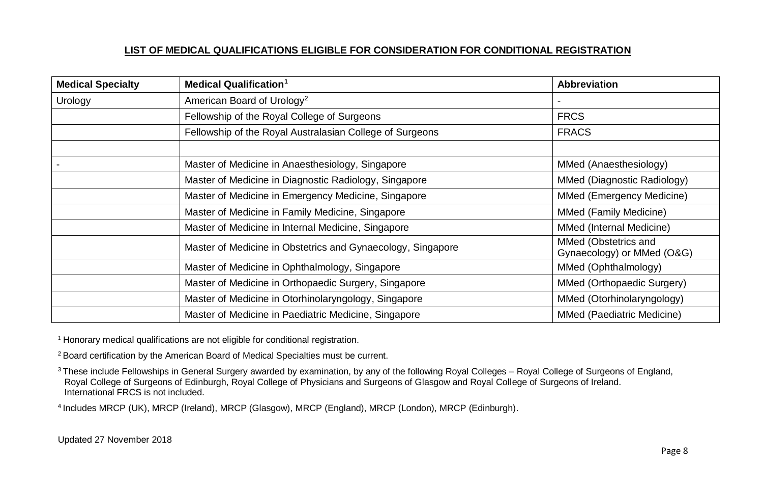| <b>Medical Specialty</b> | <b>Medical Qualification<sup>1</sup></b>                    | <b>Abbreviation</b>                                |
|--------------------------|-------------------------------------------------------------|----------------------------------------------------|
| Urology                  | American Board of Urology <sup>2</sup>                      |                                                    |
|                          | Fellowship of the Royal College of Surgeons                 | <b>FRCS</b>                                        |
|                          | Fellowship of the Royal Australasian College of Surgeons    | <b>FRACS</b>                                       |
|                          |                                                             |                                                    |
|                          | Master of Medicine in Anaesthesiology, Singapore            | MMed (Anaesthesiology)                             |
|                          | Master of Medicine in Diagnostic Radiology, Singapore       | MMed (Diagnostic Radiology)                        |
|                          | Master of Medicine in Emergency Medicine, Singapore         | MMed (Emergency Medicine)                          |
|                          | Master of Medicine in Family Medicine, Singapore            | MMed (Family Medicine)                             |
|                          | Master of Medicine in Internal Medicine, Singapore          | MMed (Internal Medicine)                           |
|                          | Master of Medicine in Obstetrics and Gynaecology, Singapore | MMed (Obstetrics and<br>Gynaecology) or MMed (O&G) |
|                          | Master of Medicine in Ophthalmology, Singapore              | MMed (Ophthalmology)                               |
|                          | Master of Medicine in Orthopaedic Surgery, Singapore        | MMed (Orthopaedic Surgery)                         |
|                          | Master of Medicine in Otorhinolaryngology, Singapore        | MMed (Otorhinolaryngology)                         |
|                          | Master of Medicine in Paediatric Medicine, Singapore        | MMed (Paediatric Medicine)                         |

<sup>1</sup> Honorary medical qualifications are not eligible for conditional registration.

<sup>2</sup> Board certification by the American Board of Medical Specialties must be current.

<sup>3</sup> These include Fellowships in General Surgery awarded by examination, by any of the following Royal Colleges – Royal College of Surgeons of England, Royal College of Surgeons of Edinburgh, Royal College of Physicians and Surgeons of Glasgow and Royal College of Surgeons of Ireland. International FRCS is not included.